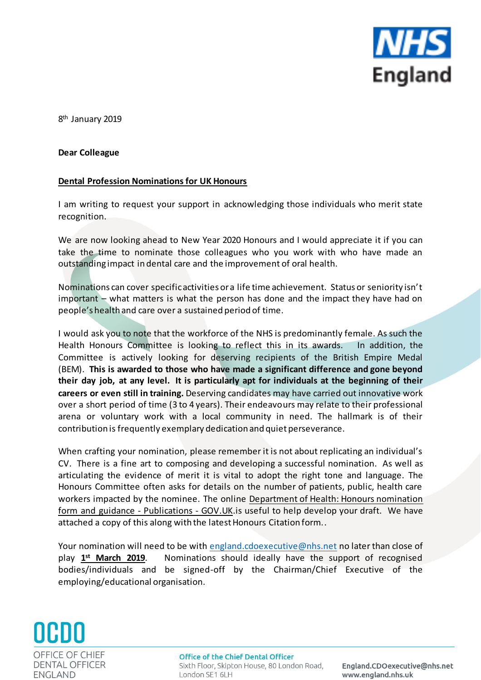

8<sup>th</sup> January 2019

## **Dear Colleague**

## **Dental Profession Nominations for UK Honours**

I am writing to request your support in acknowledging those individuals who merit state recognition.

We are now looking ahead to New Year 2020 Honours and I would appreciate it if you can take the time to nominate those colleagues who you work with who have made an outstanding impact in dental care and the improvement of oral health.

Nominations can cover specific activities or a life time achievement. Status or seniority isn't important – what matters is what the person has done and the impact they have had on people's health and care over a sustained period of time.

I would ask you to note that the workforce of the NHS is predominantly female. As such the Health Honours Committee is looking to reflect this in its awards. In addition, the Committee is actively looking for deserving recipients of the British Empire Medal (BEM). **This is awarded to those who have made a significant difference and gone beyond their day job, at any level. It is particularly apt for individuals at the beginning of their careers or even still in training.** Deserving candidates may have carried out innovative work over a short period of time (3 to 4 years). Their endeavours may relate to their professional arena or voluntary work with a local community in need. The hallmark is of their contribution is frequently exemplary dedication and quiet perseverance.

When crafting your nomination, please remember it is not about replicating an individual's CV. There is a fine art to composing and developing a successful nomination. As well as articulating the evidence of merit it is vital to adopt the right tone and language. The Honours Committee often asks for details on the number of patients, public, health care workers impacted by the nominee. The onlin[e Department of Health: Honours nomination](https://www.gov.uk/government/publications/new-years-honours-nomination-form-and-guidance)  [form and guidance -](https://www.gov.uk/government/publications/new-years-honours-nomination-form-and-guidance) Publications - GOV.UK.is useful to help develop your draft. We have attached a copy of this along with the latest Honours Citation form..

Your nomination will need to be with [england.cdoexecutive@nhs.net](mailto:england.cdoexecutive@nhs.net) no later than close of play 1<sup>st</sup> March 2019. **st March 2019**. Nominations should ideally have the support of recognised bodies/individuals and be signed-off by the Chairman/Chief Executive of the employing/educational organisation.



England.CDOexecutive@nhs.net www.england.nhs.uk